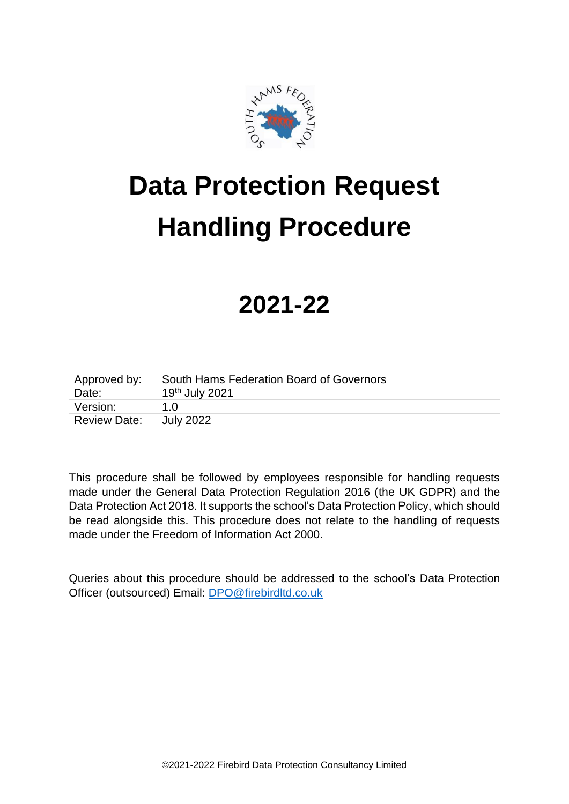

# **Data Protection Request Handling Procedure**

## **2021-22**

| Approved by:        | South Hams Federation Board of Governors |
|---------------------|------------------------------------------|
| Date:               | 19th July 2021                           |
| Version:            | 1 N                                      |
| <b>Review Date:</b> | <b>July 2022</b>                         |

This procedure shall be followed by employees responsible for handling requests made under the General Data Protection Regulation 2016 (the UK GDPR) and the Data Protection Act 2018. It supports the school's Data Protection Policy, which should be read alongside this. This procedure does not relate to the handling of requests made under the Freedom of Information Act 2000.

Queries about this procedure should be addressed to the school's Data Protection Officer (outsourced) Email: [DPO@firebirdltd.co.uk](mailto:DPO@firebirdltd.co.uk)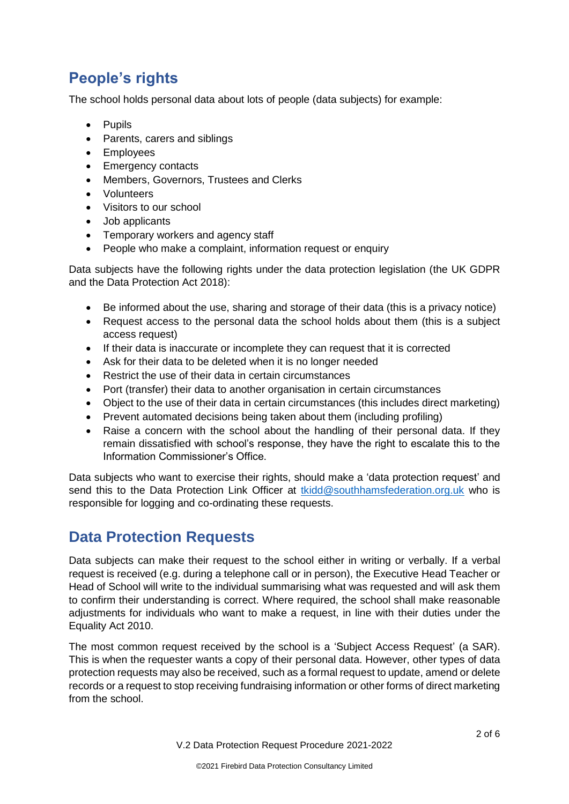## **People's rights**

The school holds personal data about lots of people (data subjects) for example:

- Pupils
- Parents, carers and siblings
- Employees
- Emergency contacts
- Members, Governors, Trustees and Clerks
- Volunteers
- Visitors to our school
- Job applicants
- Temporary workers and agency staff
- People who make a complaint, information request or enquiry

Data subjects have the following rights under the data protection legislation (the UK GDPR and the Data Protection Act 2018):

- Be informed about the use, sharing and storage of their data (this is a privacy notice)
- Request access to the personal data the school holds about them (this is a subject access request)
- If their data is inaccurate or incomplete they can request that it is corrected
- Ask for their data to be deleted when it is no longer needed
- Restrict the use of their data in certain circumstances
- Port (transfer) their data to another organisation in certain circumstances
- Object to the use of their data in certain circumstances (this includes direct marketing)
- Prevent automated decisions being taken about them (including profiling)
- Raise a concern with the school about the handling of their personal data. If they remain dissatisfied with school's response, they have the right to escalate this to the Information Commissioner's Office.

Data subjects who want to exercise their rights, should make a 'data protection request' and send this to the Data Protection Link Officer at [tkidd@southhamsfederation.org.uk](mailto:tkidd@southhamsfederation.org.uk) who is responsible for logging and co-ordinating these requests.

## **Data Protection Requests**

Data subjects can make their request to the school either in writing or verbally. If a verbal request is received (e.g. during a telephone call or in person), the Executive Head Teacher or Head of School will write to the individual summarising what was requested and will ask them to confirm their understanding is correct. Where required, the school shall make reasonable adjustments for individuals who want to make a request, in line with their duties under the Equality Act 2010.

The most common request received by the school is a 'Subject Access Request' (a SAR). This is when the requester wants a copy of their personal data. However, other types of data protection requests may also be received, such as a formal request to update, amend or delete records or a request to stop receiving fundraising information or other forms of direct marketing from the school.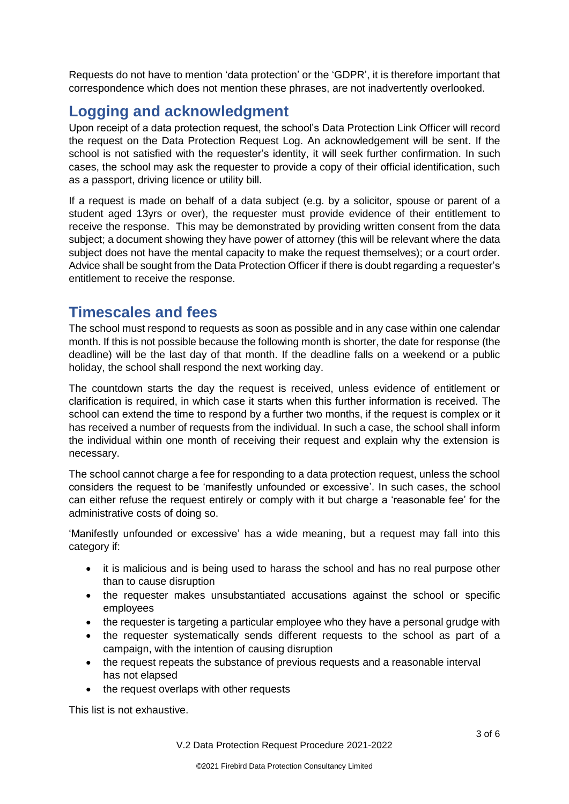Requests do not have to mention 'data protection' or the 'GDPR', it is therefore important that correspondence which does not mention these phrases, are not inadvertently overlooked.

## **Logging and acknowledgment**

Upon receipt of a data protection request, the school's Data Protection Link Officer will record the request on the Data Protection Request Log. An acknowledgement will be sent. If the school is not satisfied with the requester's identity, it will seek further confirmation. In such cases, the school may ask the requester to provide a copy of their official identification, such as a passport, driving licence or utility bill.

If a request is made on behalf of a data subject (e.g. by a solicitor, spouse or parent of a student aged 13yrs or over), the requester must provide evidence of their entitlement to receive the response. This may be demonstrated by providing written consent from the data subject; a document showing they have power of attorney (this will be relevant where the data subject does not have the mental capacity to make the request themselves); or a court order. Advice shall be sought from the Data Protection Officer if there is doubt regarding a requester's entitlement to receive the response.

## **Timescales and fees**

The school must respond to requests as soon as possible and in any case within one calendar month. If this is not possible because the following month is shorter, the date for response (the deadline) will be the last day of that month. If the deadline falls on a weekend or a public holiday, the school shall respond the next working day.

The countdown starts the day the request is received, unless evidence of entitlement or clarification is required, in which case it starts when this further information is received. The school can extend the time to respond by a further two months, if the request is complex or it has received a number of requests from the individual. In such a case, the school shall inform the individual within one month of receiving their request and explain why the extension is necessary.

The school cannot charge a fee for responding to a data protection request, unless the school considers the request to be 'manifestly unfounded or excessive'. In such cases, the school can either refuse the request entirely or comply with it but charge a 'reasonable fee' for the administrative costs of doing so.

'Manifestly unfounded or excessive' has a wide meaning, but a request may fall into this category if:

- it is malicious and is being used to harass the school and has no real purpose other than to cause disruption
- the requester makes unsubstantiated accusations against the school or specific employees
- the requester is targeting a particular employee who they have a personal grudge with
- the requester systematically sends different requests to the school as part of a campaign, with the intention of causing disruption
- the request repeats the substance of previous requests and a reasonable interval has not elapsed
- the request overlaps with other requests

This list is not exhaustive.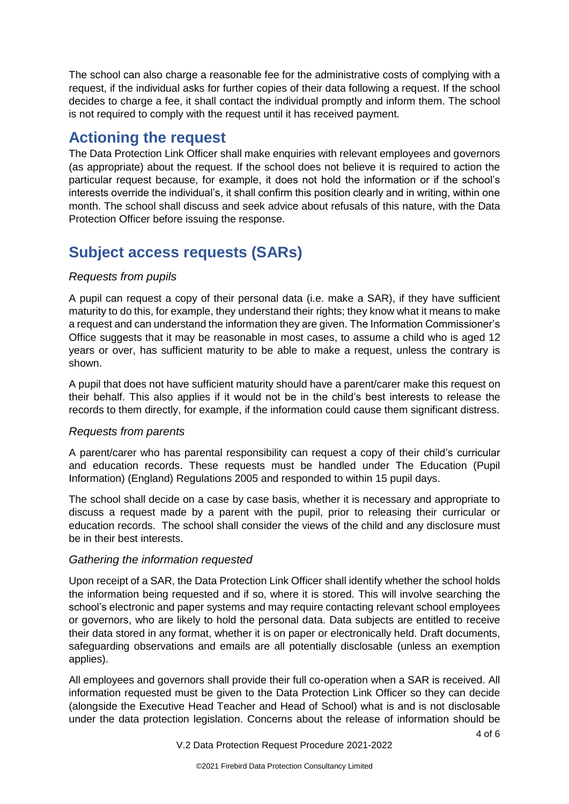The school can also charge a reasonable fee for the administrative costs of complying with a request, if the individual asks for further copies of their data following a request. If the school decides to charge a fee, it shall contact the individual promptly and inform them. The school is not required to comply with the request until it has received payment.

### **Actioning the request**

The Data Protection Link Officer shall make enquiries with relevant employees and governors (as appropriate) about the request. If the school does not believe it is required to action the particular request because, for example, it does not hold the information or if the school's interests override the individual's, it shall confirm this position clearly and in writing, within one month. The school shall discuss and seek advice about refusals of this nature, with the Data Protection Officer before issuing the response.

## **Subject access requests (SARs)**

#### *Requests from pupils*

A pupil can request a copy of their personal data (i.e. make a SAR), if they have sufficient maturity to do this, for example, they understand their rights; they know what it means to make a request and can understand the information they are given. The Information Commissioner's Office suggests that it may be reasonable in most cases, to assume a child who is aged 12 years or over, has sufficient maturity to be able to make a request, unless the contrary is shown.

A pupil that does not have sufficient maturity should have a parent/carer make this request on their behalf. This also applies if it would not be in the child's best interests to release the records to them directly, for example, if the information could cause them significant distress.

#### *Requests from parents*

A parent/carer who has parental responsibility can request a copy of their child's curricular and education records. These requests must be handled under The Education (Pupil Information) (England) Regulations 2005 and responded to within 15 pupil days.

The school shall decide on a case by case basis, whether it is necessary and appropriate to discuss a request made by a parent with the pupil, prior to releasing their curricular or education records. The school shall consider the views of the child and any disclosure must be in their best interests.

#### *Gathering the information requested*

Upon receipt of a SAR, the Data Protection Link Officer shall identify whether the school holds the information being requested and if so, where it is stored. This will involve searching the school's electronic and paper systems and may require contacting relevant school employees or governors, who are likely to hold the personal data. Data subjects are entitled to receive their data stored in any format, whether it is on paper or electronically held. Draft documents, safeguarding observations and emails are all potentially disclosable (unless an exemption applies).

All employees and governors shall provide their full co-operation when a SAR is received. All information requested must be given to the Data Protection Link Officer so they can decide (alongside the Executive Head Teacher and Head of School) what is and is not disclosable under the data protection legislation. Concerns about the release of information should be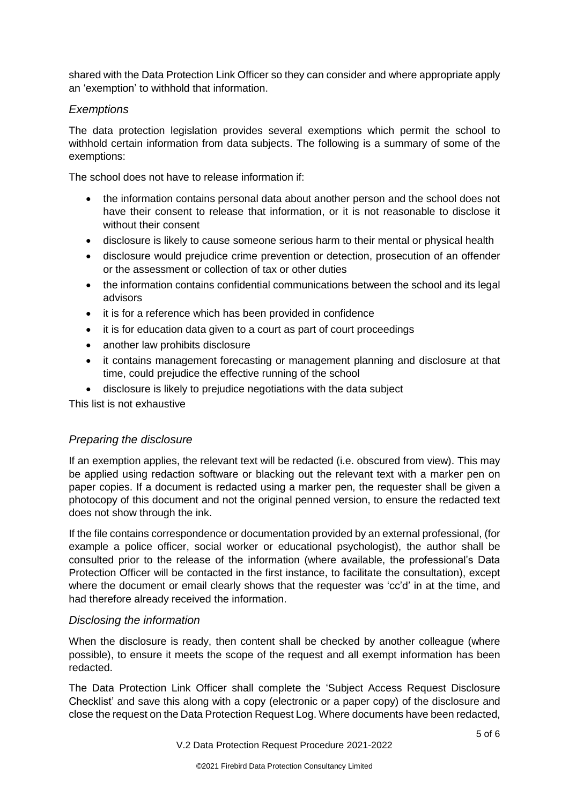shared with the Data Protection Link Officer so they can consider and where appropriate apply an 'exemption' to withhold that information.

#### *Exemptions*

The data protection legislation provides several exemptions which permit the school to withhold certain information from data subjects. The following is a summary of some of the exemptions:

The school does not have to release information if:

- the information contains personal data about another person and the school does not have their consent to release that information, or it is not reasonable to disclose it without their consent
- disclosure is likely to cause someone serious harm to their mental or physical health
- disclosure would prejudice crime prevention or detection, prosecution of an offender or the assessment or collection of tax or other duties
- the information contains confidential communications between the school and its legal advisors
- it is for a reference which has been provided in confidence
- it is for education data given to a court as part of court proceedings
- another law prohibits disclosure
- it contains management forecasting or management planning and disclosure at that time, could prejudice the effective running of the school
- disclosure is likely to prejudice negotiations with the data subject

This list is not exhaustive

#### *Preparing the disclosure*

If an exemption applies, the relevant text will be redacted (i.e. obscured from view). This may be applied using redaction software or blacking out the relevant text with a marker pen on paper copies. If a document is redacted using a marker pen, the requester shall be given a photocopy of this document and not the original penned version, to ensure the redacted text does not show through the ink.

If the file contains correspondence or documentation provided by an external professional, (for example a police officer, social worker or educational psychologist), the author shall be consulted prior to the release of the information (where available, the professional's Data Protection Officer will be contacted in the first instance, to facilitate the consultation), except where the document or email clearly shows that the requester was 'cc'd' in at the time, and had therefore already received the information.

#### *Disclosing the information*

When the disclosure is ready, then content shall be checked by another colleague (where possible), to ensure it meets the scope of the request and all exempt information has been redacted.

The Data Protection Link Officer shall complete the 'Subject Access Request Disclosure Checklist' and save this along with a copy (electronic or a paper copy) of the disclosure and close the request on the Data Protection Request Log. Where documents have been redacted,